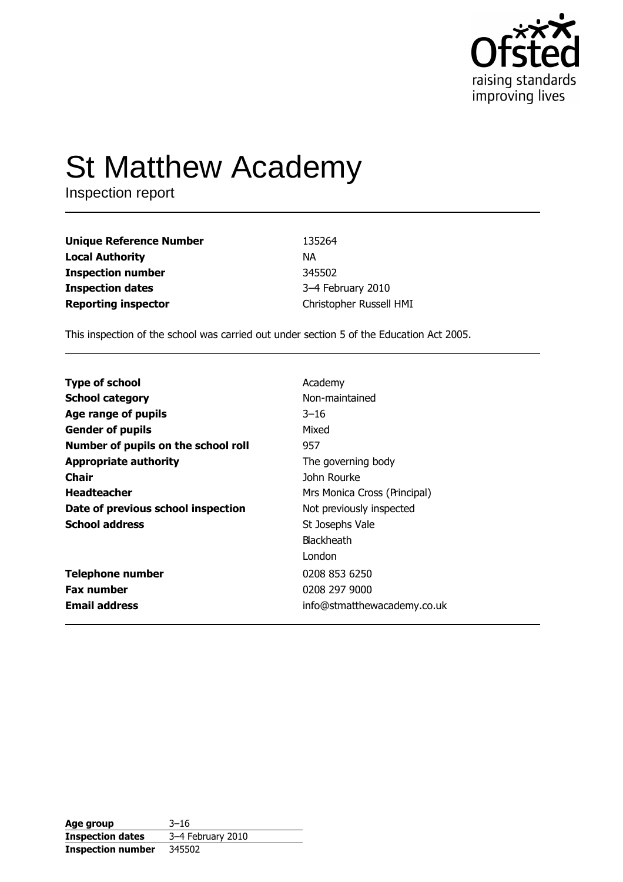

# **St Matthew Academy**

Inspection report

| <b>Unique Reference Number</b> | 135264                  |
|--------------------------------|-------------------------|
| <b>Local Authority</b>         | ΝA                      |
| <b>Inspection number</b>       | 345502                  |
| <b>Inspection dates</b>        | 3-4 February 2010       |
| <b>Reporting inspector</b>     | Christopher Russell HMI |

This inspection of the school was carried out under section 5 of the Education Act 2005.

| <b>Type of school</b>               | Academy                      |
|-------------------------------------|------------------------------|
| <b>School category</b>              | Non-maintained               |
| Age range of pupils                 | $3 - 16$                     |
| <b>Gender of pupils</b>             | Mixed                        |
| Number of pupils on the school roll | 957                          |
| <b>Appropriate authority</b>        | The governing body           |
| Chair                               | John Rourke                  |
| <b>Headteacher</b>                  | Mrs Monica Cross (Principal) |
| Date of previous school inspection  | Not previously inspected     |
| <b>School address</b>               | St Josephs Vale              |
|                                     | <b>Blackheath</b>            |
|                                     | London                       |
| <b>Telephone number</b>             | 0208 853 6250                |
| <b>Fax number</b>                   | 0208 297 9000                |
| <b>Email address</b>                | info@stmatthewacademy.co.uk  |
|                                     |                              |

| Age group                | $3 - 16$          |
|--------------------------|-------------------|
| <b>Inspection dates</b>  | 3-4 February 2010 |
| <b>Inspection number</b> | 345502            |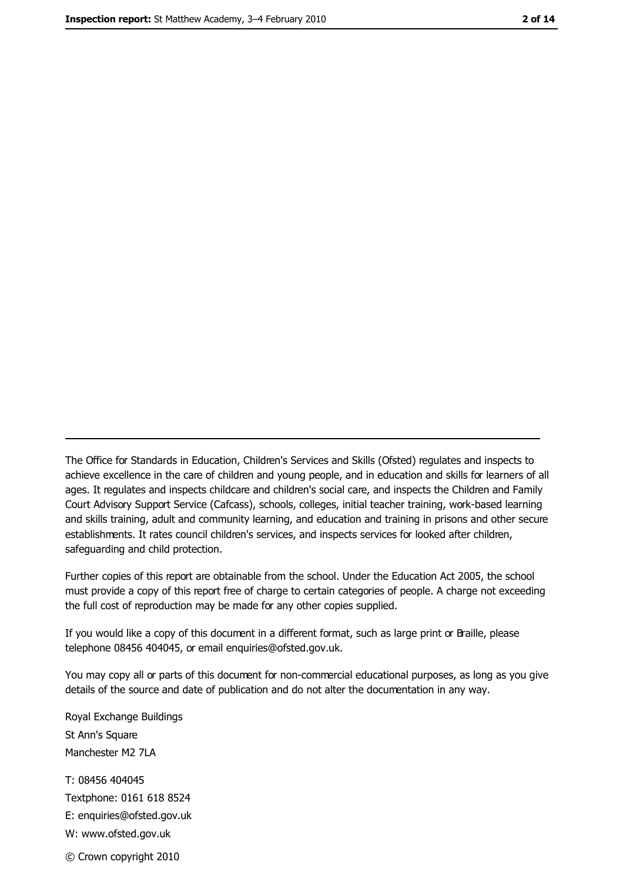The Office for Standards in Education, Children's Services and Skills (Ofsted) regulates and inspects to achieve excellence in the care of children and young people, and in education and skills for learners of all ages. It regulates and inspects childcare and children's social care, and inspects the Children and Family Court Advisory Support Service (Cafcass), schools, colleges, initial teacher training, work-based learning and skills training, adult and community learning, and education and training in prisons and other secure establishments. It rates council children's services, and inspects services for looked after children, safequarding and child protection.

Further copies of this report are obtainable from the school. Under the Education Act 2005, the school must provide a copy of this report free of charge to certain categories of people. A charge not exceeding the full cost of reproduction may be made for any other copies supplied.

If you would like a copy of this document in a different format, such as large print or Braille, please telephone 08456 404045, or email enquiries@ofsted.gov.uk.

You may copy all or parts of this document for non-commercial educational purposes, as long as you give details of the source and date of publication and do not alter the documentation in any way.

Royal Exchange Buildings St Ann's Square Manchester M2 7LA T: 08456 404045 Textphone: 0161 618 8524 E: enquiries@ofsted.gov.uk W: www.ofsted.gov.uk © Crown copyright 2010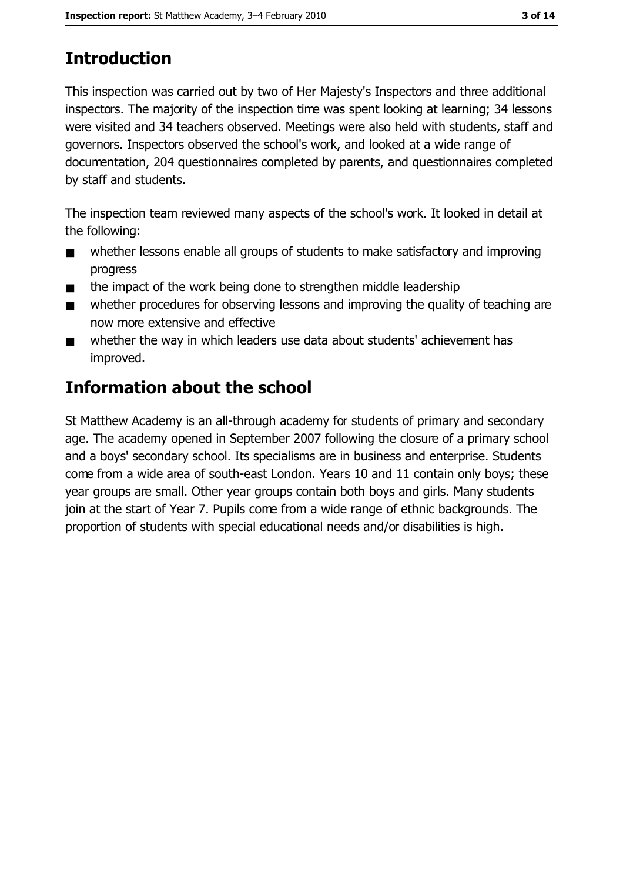## **Introduction**

This inspection was carried out by two of Her Majesty's Inspectors and three additional inspectors. The majority of the inspection time was spent looking at learning; 34 lessons were visited and 34 teachers observed. Meetings were also held with students, staff and governors. Inspectors observed the school's work, and looked at a wide range of documentation, 204 questionnaires completed by parents, and questionnaires completed by staff and students.

The inspection team reviewed many aspects of the school's work. It looked in detail at the following:

- whether lessons enable all groups of students to make satisfactory and improving  $\blacksquare$ progress
- the impact of the work being done to strengthen middle leadership  $\blacksquare$
- whether procedures for observing lessons and improving the quality of teaching are  $\blacksquare$ now more extensive and effective
- whether the way in which leaders use data about students' achievement has  $\blacksquare$ improved.

## Information about the school

St Matthew Academy is an all-through academy for students of primary and secondary age. The academy opened in September 2007 following the closure of a primary school and a boys' secondary school. Its specialisms are in business and enterprise. Students come from a wide area of south-east London. Years 10 and 11 contain only boys; these year groups are small. Other year groups contain both boys and girls. Many students join at the start of Year 7. Pupils come from a wide range of ethnic backgrounds. The proportion of students with special educational needs and/or disabilities is high.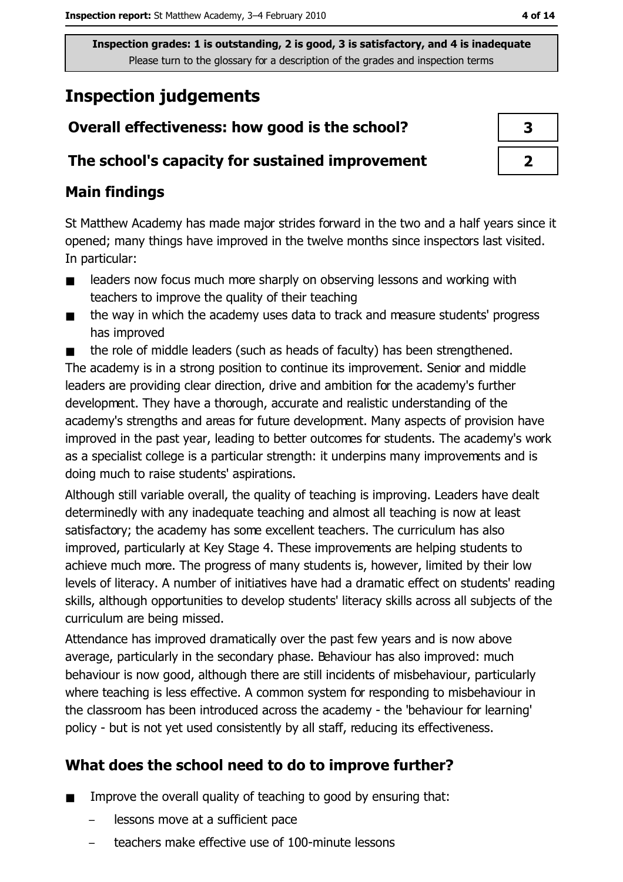## **Inspection judgements**

## Overall effectiveness: how good is the school?

#### The school's capacity for sustained improvement

#### **Main findings**

St Matthew Academy has made major strides forward in the two and a half years since it opened; many things have improved in the twelve months since inspectors last visited. In particular:

- $\blacksquare$ leaders now focus much more sharply on observing lessons and working with teachers to improve the quality of their teaching
- the way in which the academy uses data to track and measure students' progress  $\blacksquare$ has improved

the role of middle leaders (such as heads of faculty) has been strengthened.  $\blacksquare$ The academy is in a strong position to continue its improvement. Senior and middle leaders are providing clear direction, drive and ambition for the academy's further development. They have a thorough, accurate and realistic understanding of the academy's strengths and areas for future development. Many aspects of provision have improved in the past year, leading to better outcomes for students. The academy's work as a specialist college is a particular strength: it underpins many improvements and is doing much to raise students' aspirations.

Although still variable overall, the quality of teaching is improving. Leaders have dealt determinedly with any inadequate teaching and almost all teaching is now at least satisfactory; the academy has some excellent teachers. The curriculum has also improved, particularly at Key Stage 4. These improvements are helping students to achieve much more. The progress of many students is, however, limited by their low levels of literacy. A number of initiatives have had a dramatic effect on students' reading skills, although opportunities to develop students' literacy skills across all subjects of the curriculum are being missed.

Attendance has improved dramatically over the past few years and is now above average, particularly in the secondary phase. Behaviour has also improved: much behaviour is now good, although there are still incidents of misbehaviour, particularly where teaching is less effective. A common system for responding to misbehaviour in the classroom has been introduced across the academy - the 'behaviour for learning' policy - but is not yet used consistently by all staff, reducing its effectiveness.

## What does the school need to do to improve further?

- Improve the overall quality of teaching to good by ensuring that:  $\blacksquare$ 
	- lessons move at a sufficient pace
	- teachers make effective use of 100-minute lessons

| 3 |
|---|
|   |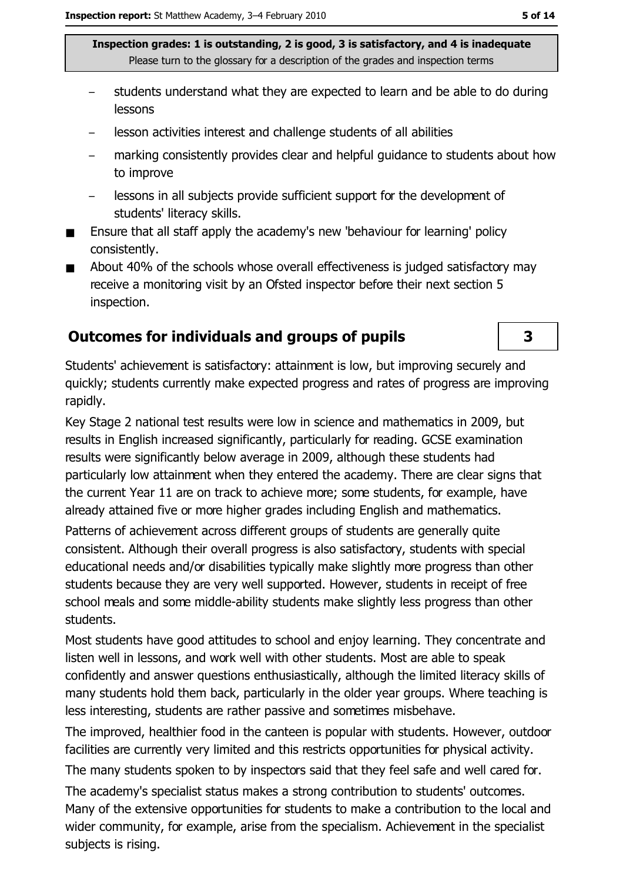- students understand what they are expected to learn and be able to do during lessons
- lesson activities interest and challenge students of all abilities
- marking consistently provides clear and helpful guidance to students about how to improve
- lessons in all subjects provide sufficient support for the development of students' literacy skills.
- Ensure that all staff apply the academy's new 'behaviour for learning' policy  $\blacksquare$ consistently.
- About 40% of the schools whose overall effectiveness is judged satisfactory may  $\blacksquare$ receive a monitoring visit by an Ofsted inspector before their next section 5 inspection.

#### **Outcomes for individuals and groups of pupils**

3

Students' achievement is satisfactory: attainment is low, but improving securely and quickly; students currently make expected progress and rates of progress are improving rapidly.

Key Stage 2 national test results were low in science and mathematics in 2009, but results in English increased significantly, particularly for reading. GCSE examination results were significantly below average in 2009, although these students had particularly low attainment when they entered the academy. There are clear signs that the current Year 11 are on track to achieve more; some students, for example, have already attained five or more higher grades including English and mathematics.

Patterns of achievement across different groups of students are generally quite consistent. Although their overall progress is also satisfactory, students with special educational needs and/or disabilities typically make slightly more progress than other students because they are very well supported. However, students in receipt of free school meals and some middle-ability students make slightly less progress than other students.

Most students have good attitudes to school and enjoy learning. They concentrate and listen well in lessons, and work well with other students. Most are able to speak confidently and answer questions enthusiastically, although the limited literacy skills of many students hold them back, particularly in the older year groups. Where teaching is less interesting, students are rather passive and sometimes misbehave.

The improved, healthier food in the canteen is popular with students. However, outdoor facilities are currently very limited and this restricts opportunities for physical activity.

The many students spoken to by inspectors said that they feel safe and well cared for.

The academy's specialist status makes a strong contribution to students' outcomes. Many of the extensive opportunities for students to make a contribution to the local and wider community, for example, arise from the specialism. Achievement in the specialist subjects is rising.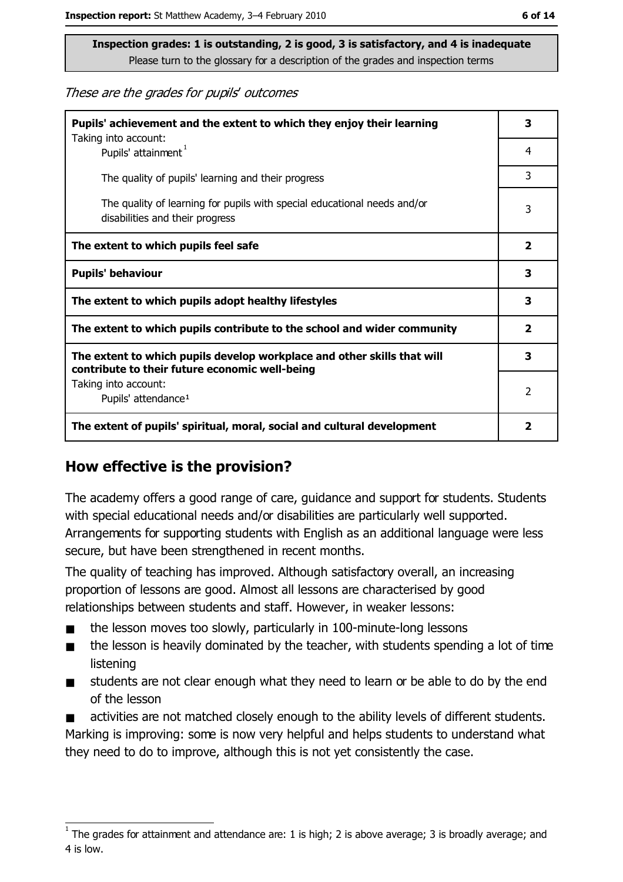These are the grades for pupils' outcomes

| Pupils' achievement and the extent to which they enjoy their learning                                                     |                         |
|---------------------------------------------------------------------------------------------------------------------------|-------------------------|
| Taking into account:<br>Pupils' attainment <sup>1</sup>                                                                   | 4                       |
| The quality of pupils' learning and their progress                                                                        | 3                       |
| The quality of learning for pupils with special educational needs and/or<br>disabilities and their progress               | 3                       |
| The extent to which pupils feel safe                                                                                      | $\overline{\mathbf{2}}$ |
| <b>Pupils' behaviour</b>                                                                                                  | 3                       |
| The extent to which pupils adopt healthy lifestyles                                                                       | 3                       |
| The extent to which pupils contribute to the school and wider community                                                   | $\overline{2}$          |
| The extent to which pupils develop workplace and other skills that will<br>contribute to their future economic well-being |                         |
| Taking into account:<br>Pupils' attendance <sup>1</sup>                                                                   | 2                       |
| The extent of pupils' spiritual, moral, social and cultural development                                                   | $\overline{\mathbf{2}}$ |

#### How effective is the provision?

The academy offers a good range of care, guidance and support for students. Students with special educational needs and/or disabilities are particularly well supported. Arrangements for supporting students with English as an additional language were less secure, but have been strengthened in recent months.

The quality of teaching has improved. Although satisfactory overall, an increasing proportion of lessons are good. Almost all lessons are characterised by good relationships between students and staff. However, in weaker lessons:

- the lesson moves too slowly, particularly in 100-minute-long lessons
- the lesson is heavily dominated by the teacher, with students spending a lot of time  $\blacksquare$ listening
- students are not clear enough what they need to learn or be able to do by the end  $\blacksquare$ of the lesson
- activities are not matched closely enough to the ability levels of different students. Marking is improving: some is now very helpful and helps students to understand what they need to do to improve, although this is not yet consistently the case.

The grades for attainment and attendance are: 1 is high; 2 is above average; 3 is broadly average; and 4 is low.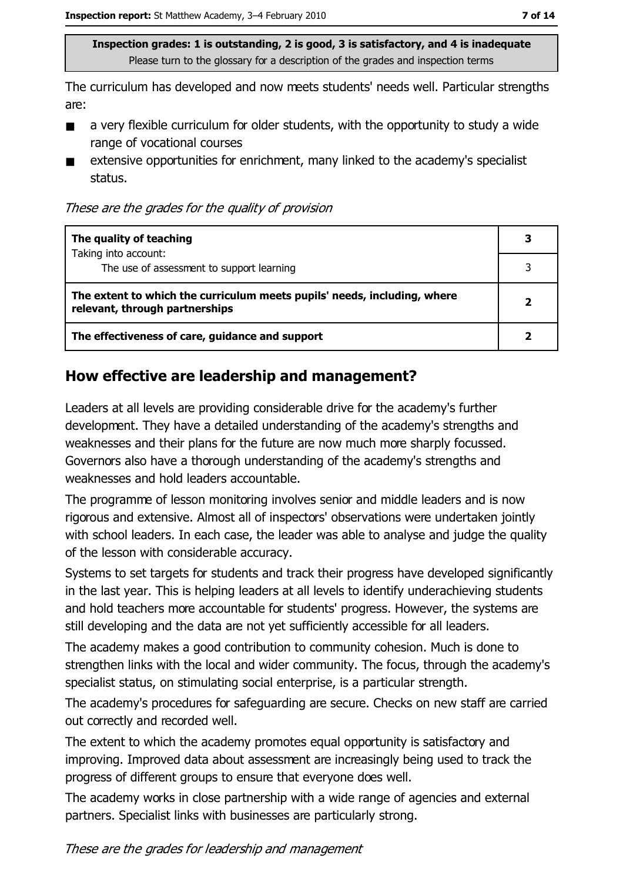The curriculum has developed and now meets students' needs well. Particular strengths are:

- a very flexible curriculum for older students, with the opportunity to study a wide  $\blacksquare$ range of vocational courses
- extensive opportunities for enrichment, many linked to the academy's specialist  $\blacksquare$ status.

These are the grades for the quality of provision

| The quality of teaching                                                                                    |  |
|------------------------------------------------------------------------------------------------------------|--|
| Taking into account:<br>The use of assessment to support learning                                          |  |
| The extent to which the curriculum meets pupils' needs, including, where<br>relevant, through partnerships |  |
| The effectiveness of care, guidance and support                                                            |  |

#### How effective are leadership and management?

Leaders at all levels are providing considerable drive for the academy's further development. They have a detailed understanding of the academy's strengths and weaknesses and their plans for the future are now much more sharply focussed. Governors also have a thorough understanding of the academy's strengths and weaknesses and hold leaders accountable.

The programme of lesson monitoring involves senior and middle leaders and is now rigorous and extensive. Almost all of inspectors' observations were undertaken jointly with school leaders. In each case, the leader was able to analyse and judge the quality of the lesson with considerable accuracy.

Systems to set targets for students and track their progress have developed significantly in the last year. This is helping leaders at all levels to identify underachieving students and hold teachers more accountable for students' progress. However, the systems are still developing and the data are not yet sufficiently accessible for all leaders.

The academy makes a good contribution to community cohesion. Much is done to strengthen links with the local and wider community. The focus, through the academy's specialist status, on stimulating social enterprise, is a particular strength.

The academy's procedures for safeguarding are secure. Checks on new staff are carried out correctly and recorded well.

The extent to which the academy promotes equal opportunity is satisfactory and improving. Improved data about assessment are increasingly being used to track the progress of different groups to ensure that everyone does well.

The academy works in close partnership with a wide range of agencies and external partners. Specialist links with businesses are particularly strong.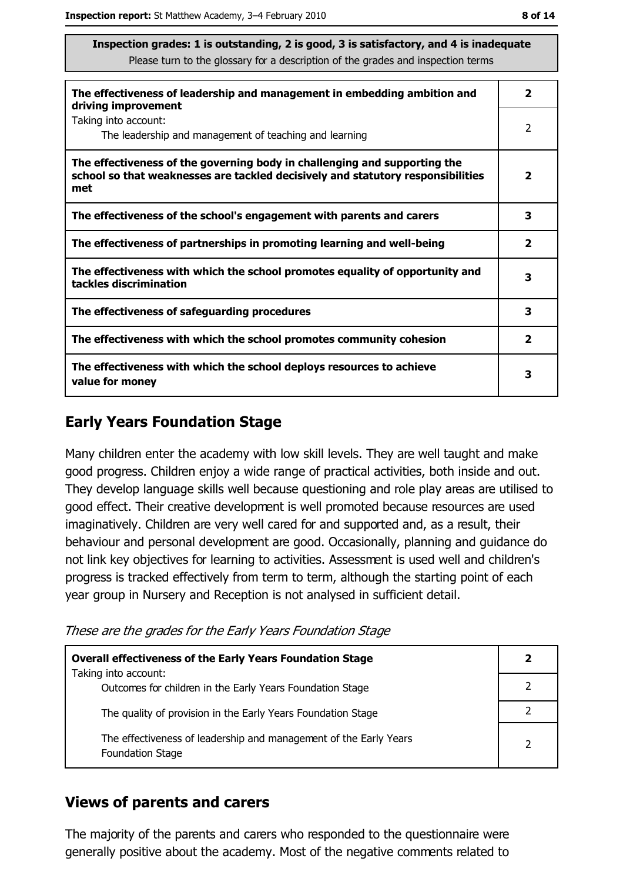| The effectiveness of leadership and management in embedding ambition and<br>driving improvement                                                                     | $\mathbf{2}$            |
|---------------------------------------------------------------------------------------------------------------------------------------------------------------------|-------------------------|
| Taking into account:<br>The leadership and management of teaching and learning                                                                                      | 2                       |
| The effectiveness of the governing body in challenging and supporting the<br>school so that weaknesses are tackled decisively and statutory responsibilities<br>met | $\overline{\mathbf{2}}$ |
| The effectiveness of the school's engagement with parents and carers                                                                                                | 3                       |
| The effectiveness of partnerships in promoting learning and well-being                                                                                              | $\mathbf{2}$            |
| The effectiveness with which the school promotes equality of opportunity and<br>tackles discrimination                                                              | 3                       |
| The effectiveness of safeguarding procedures                                                                                                                        | 3                       |
| The effectiveness with which the school promotes community cohesion                                                                                                 | $\overline{\mathbf{2}}$ |
| The effectiveness with which the school deploys resources to achieve<br>value for money                                                                             | 3                       |

#### **Early Years Foundation Stage**

Many children enter the academy with low skill levels. They are well taught and make good progress. Children enjoy a wide range of practical activities, both inside and out. They develop language skills well because questioning and role play areas are utilised to good effect. Their creative development is well promoted because resources are used imaginatively. Children are very well cared for and supported and, as a result, their behaviour and personal development are good. Occasionally, planning and guidance do not link key objectives for learning to activities. Assessment is used well and children's progress is tracked effectively from term to term, although the starting point of each year group in Nursery and Reception is not analysed in sufficient detail.

These are the grades for the Early Years Foundation Stage

| <b>Overall effectiveness of the Early Years Foundation Stage</b><br>Taking into account:     | 2                        |
|----------------------------------------------------------------------------------------------|--------------------------|
| Outcomes for children in the Early Years Foundation Stage                                    |                          |
| The quality of provision in the Early Years Foundation Stage                                 |                          |
| The effectiveness of leadership and management of the Early Years<br><b>Foundation Stage</b> | $\overline{\phantom{a}}$ |

#### **Views of parents and carers**

The majority of the parents and carers who responded to the questionnaire were generally positive about the academy. Most of the negative comments related to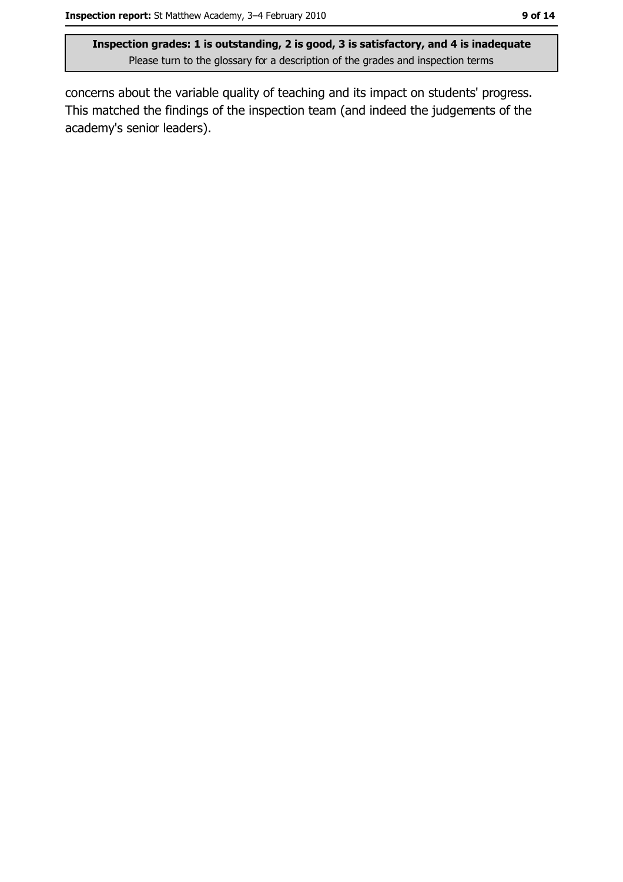concerns about the variable quality of teaching and its impact on students' progress. This matched the findings of the inspection team (and indeed the judgements of the academy's senior leaders).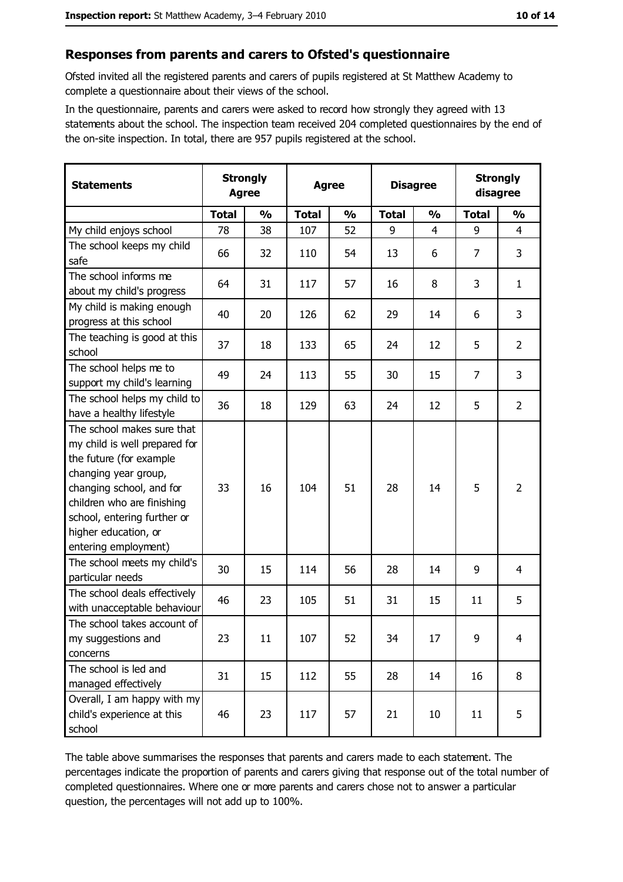#### Responses from parents and carers to Ofsted's questionnaire

Ofsted invited all the registered parents and carers of pupils registered at St Matthew Academy to complete a questionnaire about their views of the school.

In the questionnaire, parents and carers were asked to record how strongly they agreed with 13 statements about the school. The inspection team received 204 completed questionnaires by the end of the on-site inspection. In total, there are 957 pupils registered at the school.

| <b>Statements</b>                                                                                                                                                                                                                                       | <b>Strongly</b><br><b>Agree</b> |               | <b>Agree</b> |               |              | <b>Disagree</b> |                | <b>Strongly</b><br>disagree |  |
|---------------------------------------------------------------------------------------------------------------------------------------------------------------------------------------------------------------------------------------------------------|---------------------------------|---------------|--------------|---------------|--------------|-----------------|----------------|-----------------------------|--|
|                                                                                                                                                                                                                                                         | <b>Total</b>                    | $\frac{0}{0}$ | <b>Total</b> | $\frac{0}{0}$ | <b>Total</b> | $\frac{0}{0}$   | <b>Total</b>   | $\frac{0}{0}$               |  |
| My child enjoys school                                                                                                                                                                                                                                  | 78                              | 38            | 107          | 52            | 9            | $\overline{4}$  | 9              | $\overline{4}$              |  |
| The school keeps my child<br>safe                                                                                                                                                                                                                       | 66                              | 32            | 110          | 54            | 13           | 6               | $\overline{7}$ | 3                           |  |
| The school informs me<br>about my child's progress                                                                                                                                                                                                      | 64                              | 31            | 117          | 57            | 16           | 8               | 3              | $\mathbf{1}$                |  |
| My child is making enough<br>progress at this school                                                                                                                                                                                                    | 40                              | 20            | 126          | 62            | 29           | 14              | 6              | 3                           |  |
| The teaching is good at this<br>school                                                                                                                                                                                                                  | 37                              | 18            | 133          | 65            | 24           | 12              | 5              | $\overline{2}$              |  |
| The school helps me to<br>support my child's learning                                                                                                                                                                                                   | 49                              | 24            | 113          | 55            | 30           | 15              | $\overline{7}$ | 3                           |  |
| The school helps my child to<br>have a healthy lifestyle                                                                                                                                                                                                | 36                              | 18            | 129          | 63            | 24           | 12              | 5              | $\overline{2}$              |  |
| The school makes sure that<br>my child is well prepared for<br>the future (for example<br>changing year group,<br>changing school, and for<br>children who are finishing<br>school, entering further or<br>higher education, or<br>entering employment) | 33                              | 16            | 104          | 51            | 28           | 14              | 5              | $\overline{2}$              |  |
| The school meets my child's<br>particular needs                                                                                                                                                                                                         | 30                              | 15            | 114          | 56            | 28           | 14              | 9              | $\overline{4}$              |  |
| The school deals effectively<br>with unacceptable behaviour                                                                                                                                                                                             | 46                              | 23            | 105          | 51            | 31           | 15              | 11             | 5                           |  |
| The school takes account of<br>my suggestions and<br>concerns                                                                                                                                                                                           | 23                              | 11            | 107          | 52            | 34           | 17              | 9              | $\overline{4}$              |  |
| The school is led and<br>managed effectively                                                                                                                                                                                                            | 31                              | 15            | 112          | 55            | 28           | 14              | 16             | 8                           |  |
| Overall, I am happy with my<br>child's experience at this<br>school                                                                                                                                                                                     | 46                              | 23            | 117          | 57            | 21           | 10              | 11             | 5                           |  |

The table above summarises the responses that parents and carers made to each statement. The percentages indicate the proportion of parents and carers giving that response out of the total number of completed questionnaires. Where one or more parents and carers chose not to answer a particular question, the percentages will not add up to 100%.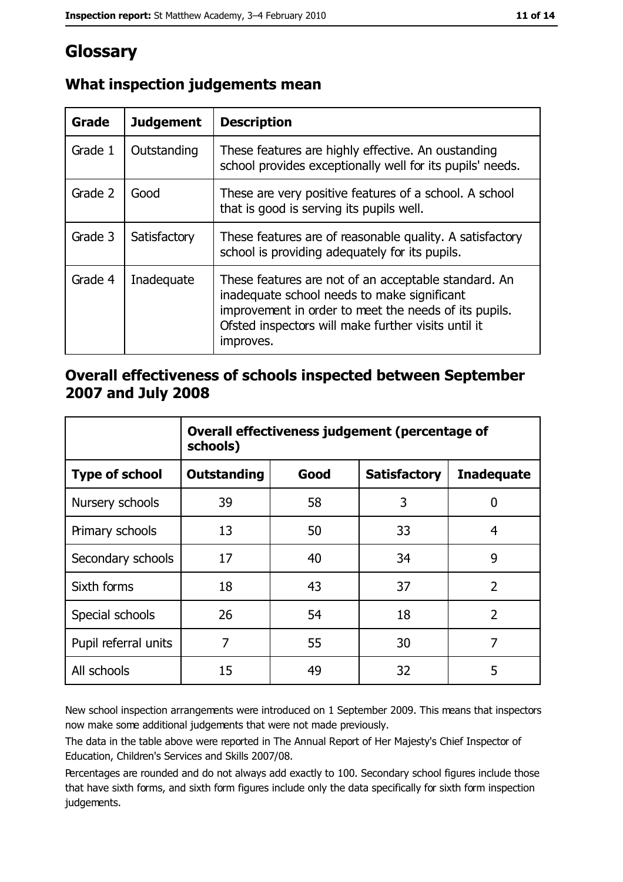# Glossary

| Grade   | <b>Judgement</b> | <b>Description</b>                                                                                                                                                                                                               |  |
|---------|------------------|----------------------------------------------------------------------------------------------------------------------------------------------------------------------------------------------------------------------------------|--|
| Grade 1 | Outstanding      | These features are highly effective. An oustanding<br>school provides exceptionally well for its pupils' needs.                                                                                                                  |  |
| Grade 2 | Good             | These are very positive features of a school. A school<br>that is good is serving its pupils well.                                                                                                                               |  |
| Grade 3 | Satisfactory     | These features are of reasonable quality. A satisfactory<br>school is providing adequately for its pupils.                                                                                                                       |  |
| Grade 4 | Inadequate       | These features are not of an acceptable standard. An<br>inadequate school needs to make significant<br>improvement in order to meet the needs of its pupils.<br>Ofsted inspectors will make further visits until it<br>improves. |  |

### What inspection judgements mean

#### Overall effectiveness of schools inspected between September 2007 and July 2008

|                       | Overall effectiveness judgement (percentage of<br>schools) |      |                     |                   |
|-----------------------|------------------------------------------------------------|------|---------------------|-------------------|
| <b>Type of school</b> | Outstanding                                                | Good | <b>Satisfactory</b> | <b>Inadequate</b> |
| Nursery schools       | 39                                                         | 58   | 3                   | 0                 |
| Primary schools       | 13                                                         | 50   | 33                  | 4                 |
| Secondary schools     | 17                                                         | 40   | 34                  | 9                 |
| Sixth forms           | 18                                                         | 43   | 37                  | $\overline{2}$    |
| Special schools       | 26                                                         | 54   | 18                  | $\overline{2}$    |
| Pupil referral units  | 7                                                          | 55   | 30                  | 7                 |
| All schools           | 15                                                         | 49   | 32                  | 5                 |

New school inspection arrangements were introduced on 1 September 2009. This means that inspectors now make some additional judgements that were not made previously.

The data in the table above were reported in The Annual Report of Her Majesty's Chief Inspector of Education, Children's Services and Skills 2007/08.

Percentages are rounded and do not always add exactly to 100. Secondary school figures include those that have sixth forms, and sixth form figures include only the data specifically for sixth form inspection judgements.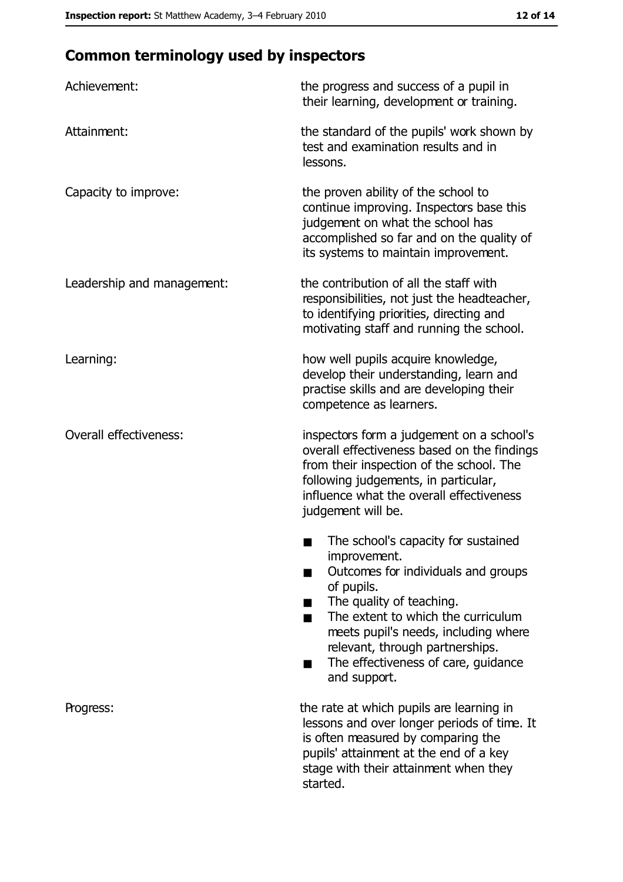## **Common terminology used by inspectors**

| Achievement:                  | the progress and success of a pupil in<br>their learning, development or training.                                                                                                                                                                                                                           |
|-------------------------------|--------------------------------------------------------------------------------------------------------------------------------------------------------------------------------------------------------------------------------------------------------------------------------------------------------------|
| Attainment:                   | the standard of the pupils' work shown by<br>test and examination results and in<br>lessons.                                                                                                                                                                                                                 |
| Capacity to improve:          | the proven ability of the school to<br>continue improving. Inspectors base this<br>judgement on what the school has<br>accomplished so far and on the quality of<br>its systems to maintain improvement.                                                                                                     |
| Leadership and management:    | the contribution of all the staff with<br>responsibilities, not just the headteacher,<br>to identifying priorities, directing and<br>motivating staff and running the school.                                                                                                                                |
| Learning:                     | how well pupils acquire knowledge,<br>develop their understanding, learn and<br>practise skills and are developing their<br>competence as learners.                                                                                                                                                          |
| <b>Overall effectiveness:</b> | inspectors form a judgement on a school's<br>overall effectiveness based on the findings<br>from their inspection of the school. The<br>following judgements, in particular,<br>influence what the overall effectiveness<br>judgement will be.                                                               |
|                               | The school's capacity for sustained<br>improvement.<br>Outcomes for individuals and groups<br>of pupils.<br>The quality of teaching.<br>The extent to which the curriculum<br>meets pupil's needs, including where<br>relevant, through partnerships.<br>The effectiveness of care, guidance<br>and support. |
| Progress:                     | the rate at which pupils are learning in<br>lessons and over longer periods of time. It<br>is often measured by comparing the<br>pupils' attainment at the end of a key<br>stage with their attainment when they<br>started.                                                                                 |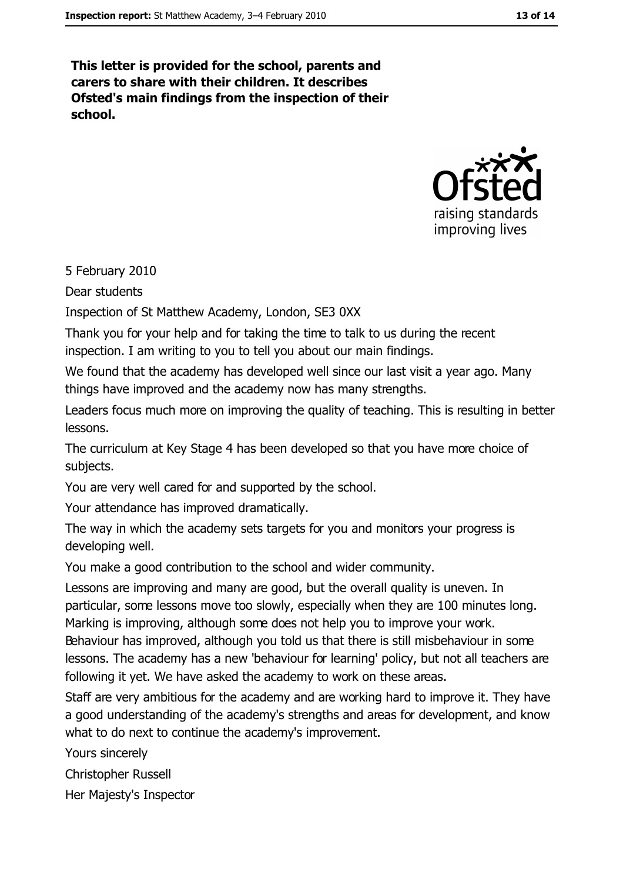This letter is provided for the school, parents and carers to share with their children. It describes Ofsted's main findings from the inspection of their school.



5 February 2010

Dear students

Inspection of St Matthew Academy, London, SE3 0XX

Thank you for your help and for taking the time to talk to us during the recent inspection. I am writing to you to tell you about our main findings.

We found that the academy has developed well since our last visit a year ago. Many things have improved and the academy now has many strengths.

Leaders focus much more on improving the quality of teaching. This is resulting in better lessons.

The curriculum at Key Stage 4 has been developed so that you have more choice of subjects.

You are very well cared for and supported by the school.

Your attendance has improved dramatically.

The way in which the academy sets targets for you and monitors your progress is developing well.

You make a good contribution to the school and wider community.

Lessons are improving and many are good, but the overall quality is uneven. In particular, some lessons move too slowly, especially when they are 100 minutes long. Marking is improving, although some does not help you to improve your work.

Behaviour has improved, although you told us that there is still misbehaviour in some lessons. The academy has a new 'behaviour for learning' policy, but not all teachers are following it yet. We have asked the academy to work on these areas.

Staff are very ambitious for the academy and are working hard to improve it. They have a good understanding of the academy's strengths and areas for development, and know what to do next to continue the academy's improvement.

Yours sincerely

**Christopher Russell** 

Her Majesty's Inspector